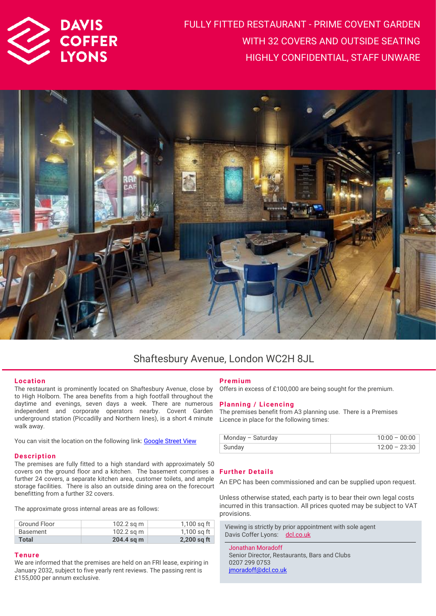

FULLY FITTED RESTAURANT - PRIME COVENT GARDEN WITH 32 COVERS AND OUTSIDE SEATING HIGHLY CONFIDENTIAL, STAFF UNWARE



## Shaftesbury Avenue, London WC2H 8JL

#### **Location**

The restaurant is prominently located on Shaftesbury Avenue, close by to High Holborn. The area benefits from a high footfall throughout the daytime and evenings, seven days a week. There are numerous independent and corporate operators nearby. Covent Garden underground station (Piccadilly and Northern lines), is a short 4 minute walk away.

You can visit the location on the following link: **Google Street View** 

#### **Description**

The premises are fully fitted to a high standard with approximately 50 covers on the ground floor and a kitchen. The basement comprises a **Further Details** further 24 covers, a separate kitchen area, customer toilets, and ample storage facilities. There is also an outside dining area on the forecourt benefitting from a further 32 covers.

The approximate gross internal areas are as follows:

| $102.2$ sq m<br>Ground Floor<br>$102.2$ sq m<br>Basement<br>$204.4$ sq m<br>Total |  |               |
|-----------------------------------------------------------------------------------|--|---------------|
|                                                                                   |  | $2,200$ sq ft |
|                                                                                   |  | 1,100 sg ft   |
|                                                                                   |  | 1,100 sg ft   |

#### **Tenure**

We are informed that the premises are held on an FRI lease, expiring in January 2032, subject to five yearly rent reviews. The passing rent is £155,000 per annum exclusive.

### **Pre mium**

Offers in excess of £100,000 are being sought for the premium.

#### **Planning / Licencing**

The premises benefit from A3 planning use. There is a Premises Licence in place for the following times:

| Monday - Saturday | $10:00 - 00:00$ |
|-------------------|-----------------|
| Sunday            | $12:00 - 23:30$ |

An EPC has been commissioned and can be supplied upon request.

Unless otherwise stated, each party is to bear their own legal costs incurred in this transaction. All prices quoted may be subject to VAT provisions.

Viewing is strictly by prior appointment with sole agent Davis Coffer Lyons: [dcl.co.uk](http://www.dcl.co.uk/)

Jonathan Moradoff Senior Director, Restaurants, Bars and Clubs 0207 299 0753 [jmoradoff@dcl.co.uk](mailto:jmoradoff@dcl.co.uk)